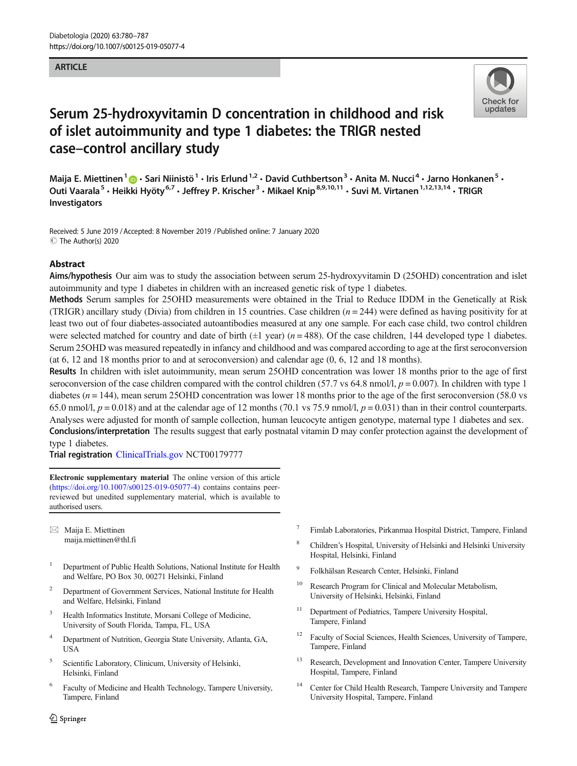## **ARTICLE**



# Serum 25-hydroxyvitamin D concentration in childhood and risk of islet autoimmunity and type 1 diabetes: the TRIGR nested case–control ancillary study

Maija E. Miettinen<sup>1</sup>  $\cdot$  Sari Niinistö<sup>1</sup> · Iris Erlund<sup>1,2</sup> · David Cuthbertson<sup>3</sup> · Anita M. Nucci<sup>4</sup> · Jarno Honkanen<sup>5</sup> · Outi Vaarala<sup>5</sup> · Heikki Hyöty<sup>6,7</sup> · Jeffrey P. Krischer<sup>3</sup> · Mikael Knip<sup>8,9,10,11</sup> · Suvi M. Virtanen<sup>1,12,13,14</sup> · TRIGR Investigators

Received: 5 June 2019 / Accepted: 8 November 2019 /Published online: 7 January 2020 $\circledcirc$  The Author(s) 2020

### Abstract

Aims/hypothesis Our aim was to study the association between serum 25-hydroxyvitamin D (25OHD) concentration and islet autoimmunity and type 1 diabetes in children with an increased genetic risk of type 1 diabetes.

Methods Serum samples for 25OHD measurements were obtained in the Trial to Reduce IDDM in the Genetically at Risk (TRIGR) ancillary study (Divia) from children in 15 countries. Case children  $(n = 244)$  were defined as having positivity for at least two out of four diabetes-associated autoantibodies measured at any one sample. For each case child, two control children were selected matched for country and date of birth  $(\pm 1 \text{ year})$  ( $n = 488$ ). Of the case children, 144 developed type 1 diabetes. Serum 25OHD was measured repeatedly in infancy and childhood and was compared according to age at the first seroconversion (at 6, 12 and 18 months prior to and at seroconversion) and calendar age (0, 6, 12 and 18 months).

Results In children with islet autoimmunity, mean serum 25OHD concentration was lower 18 months prior to the age of first seroconversion of the case children compared with the control children (57.7 vs 64.8 nmol/l,  $p = 0.007$ ). In children with type 1 diabetes ( $n = 144$ ), mean serum 25OHD concentration was lower 18 months prior to the age of the first seroconversion (58.0 vs 65.0 nmol/l,  $p = 0.018$ ) and at the calendar age of 12 months (70.1 vs 75.9 nmol/l,  $p = 0.031$ ) than in their control counterparts. Analyses were adjusted for month of sample collection, human leucocyte antigen genotype, maternal type 1 diabetes and sex. Conclusions/interpretation The results suggest that early postnatal vitamin D may confer protection against the development of

type 1 diabetes.

Trial registration [ClinicalTrials.gov](http://clinicaltrials.gov) NCT00179777

Electronic supplementary material The online version of this article ([https://doi.org/10.1007/s00125-019-05077-4\)](https://doi.org/10.1007/s00125-019-05077-4) contains contains peerreviewed but unedited supplementary material, which is available to authorised users.

 $\boxtimes$  Maija E. Miettinen [maija.miettinen@thl.fi](mailto:maija.miettinen@thl.fi)

- <sup>1</sup> Department of Public Health Solutions, National Institute for Health and Welfare, PO Box 30, 00271 Helsinki, Finland
- <sup>2</sup> Department of Government Services, National Institute for Health and Welfare, Helsinki, Finland
- <sup>3</sup> Health Informatics Institute, Morsani College of Medicine, University of South Florida, Tampa, FL, USA
- <sup>4</sup> Department of Nutrition, Georgia State University, Atlanta, GA, USA
- <sup>5</sup> Scientific Laboratory, Clinicum, University of Helsinki, Helsinki, Finland
- <sup>6</sup> Faculty of Medicine and Health Technology, Tampere University, Tampere, Finland
- <sup>7</sup> Fimlab Laboratories, Pirkanmaa Hospital District, Tampere, Finland
- <sup>8</sup> Children's Hospital, University of Helsinki and Helsinki University Hospital, Helsinki, Finland
- <sup>9</sup> Folkhälsan Research Center, Helsinki, Finland
- Research Program for Clinical and Molecular Metabolism, University of Helsinki, Helsinki, Finland
- <sup>11</sup> Department of Pediatrics, Tampere University Hospital, Tampere, Finland
- <sup>12</sup> Faculty of Social Sciences, Health Sciences, University of Tampere, Tampere, Finland
- <sup>13</sup> Research, Development and Innovation Center, Tampere University Hospital, Tampere, Finland
- <sup>14</sup> Center for Child Health Research, Tampere University and Tampere University Hospital, Tampere, Finland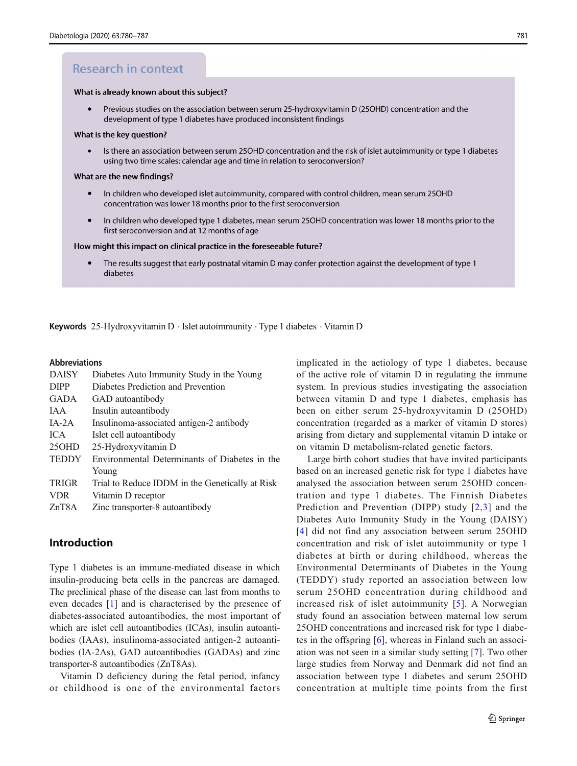# **Research in context**

#### What is already known about this subject?

 $\bullet$ Previous studies on the association between serum 25-hydroxyvitamin D (25OHD) concentration and the development of type 1 diabetes have produced inconsistent findings

#### What is the key question?

Is there an association between serum 25OHD concentration and the risk of islet autoimmunity or type 1 diabetes using two time scales: calendar age and time in relation to seroconversion?

#### What are the new findings?

- In children who developed islet autoimmunity, compared with control children, mean serum 25OHD concentration was lower 18 months prior to the first seroconversion
- $\bullet$ In children who developed type 1 diabetes, mean serum 25OHD concentration was lower 18 months prior to the first seroconversion and at 12 months of age

#### How might this impact on clinical practice in the foreseeable future?

The results suggest that early postnatal vitamin D may confer protection against the development of type 1 diabetes

Keywords 25-Hydroxyvitamin D · Islet autoimmunity · Type 1 diabetes · Vitamin D

#### Abbreviations

| <b>DAISY</b>       | Diabetes Auto Immunity Study in the Young       |
|--------------------|-------------------------------------------------|
| <b>DIPP</b>        | Diabetes Prediction and Prevention              |
| <b>GADA</b>        | GAD autoantibody                                |
| IAA                | Insulin autoantibody                            |
| $IA-2A$            | Insulinoma-associated antigen-2 antibody        |
| ICA                | Islet cell autoantibody                         |
| 25OHD              | 25-Hydroxyvitamin D                             |
| <b>TEDDY</b>       | Environmental Determinants of Diabetes in the   |
|                    | Young                                           |
| <b>TRIGR</b>       | Trial to Reduce IDDM in the Genetically at Risk |
| <b>VDR</b>         | Vitamin D receptor                              |
| Zn <sub>T</sub> 8A | Zinc transporter-8 autoantibody                 |

## Introduction

Type 1 diabetes is an immune-mediated disease in which insulin-producing beta cells in the pancreas are damaged. The preclinical phase of the disease can last from months to even decades [\[1](#page-6-0)] and is characterised by the presence of diabetes-associated autoantibodies, the most important of which are islet cell autoantibodies (ICAs), insulin autoantibodies (IAAs), insulinoma-associated antigen-2 autoantibodies (IA-2As), GAD autoantibodies (GADAs) and zinc transporter-8 autoantibodies (ZnT8As).

Vitamin D deficiency during the fetal period, infancy or childhood is one of the environmental factors implicated in the aetiology of type 1 diabetes, because of the active role of vitamin D in regulating the immune system. In previous studies investigating the association between vitamin D and type 1 diabetes, emphasis has been on either serum 25-hydroxyvitamin D (25OHD) concentration (regarded as a marker of vitamin D stores) arising from dietary and supplemental vitamin D intake or on vitamin D metabolism-related genetic factors.

Large birth cohort studies that have invited participants based on an increased genetic risk for type 1 diabetes have analysed the association between serum 25OHD concentration and type 1 diabetes. The Finnish Diabetes Prediction and Prevention (DIPP) study [\[2,3\]](#page-6-0) and the Diabetes Auto Immunity Study in the Young (DAISY) [\[4\]](#page-6-0) did not find any association between serum 25OHD concentration and risk of islet autoimmunity or type 1 diabetes at birth or during childhood, whereas the Environmental Determinants of Diabetes in the Young (TEDDY) study reported an association between low serum 25OHD concentration during childhood and increased risk of islet autoimmunity [[5](#page-7-0)]. A Norwegian study found an association between maternal low serum 25OHD concentrations and increased risk for type 1 diabetes in the offspring [[6\]](#page-7-0), whereas in Finland such an association was not seen in a similar study setting [\[7\]](#page-7-0). Two other large studies from Norway and Denmark did not find an association between type 1 diabetes and serum 25OHD concentration at multiple time points from the first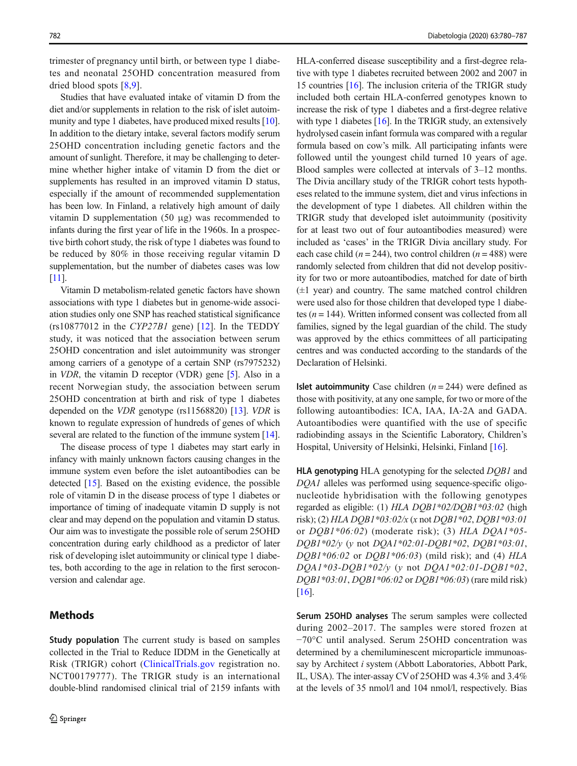trimester of pregnancy until birth, or between type 1 diabetes and neonatal 25OHD concentration measured from dried blood spots [[8](#page-7-0),[9\]](#page-7-0).

Studies that have evaluated intake of vitamin D from the diet and/or supplements in relation to the risk of islet autoimmunity and type 1 diabetes, have produced mixed results [[10\]](#page-7-0). In addition to the dietary intake, several factors modify serum 25OHD concentration including genetic factors and the amount of sunlight. Therefore, it may be challenging to determine whether higher intake of vitamin D from the diet or supplements has resulted in an improved vitamin D status, especially if the amount of recommended supplementation has been low. In Finland, a relatively high amount of daily vitamin D supplementation (50 μg) was recommended to infants during the first year of life in the 1960s. In a prospective birth cohort study, the risk of type 1 diabetes was found to be reduced by 80% in those receiving regular vitamin D supplementation, but the number of diabetes cases was low [\[11\]](#page-7-0).

Vitamin D metabolism-related genetic factors have shown associations with type 1 diabetes but in genome-wide association studies only one SNP has reached statistical significance  $(rs10877012$  $(rs10877012$  in the *CYP27B1* gene) [12]. In the TEDDY study, it was noticed that the association between serum 25OHD concentration and islet autoimmunity was stronger among carriers of a genotype of a certain SNP (rs7975232) in VDR, the vitamin D receptor (VDR) gene [\[5](#page-7-0)]. Also in a recent Norwegian study, the association between serum 25OHD concentration at birth and risk of type 1 diabetes depended on the VDR genotype (rs11568820) [\[13\]](#page-7-0). VDR is known to regulate expression of hundreds of genes of which several are related to the function of the immune system [[14\]](#page-7-0).

The disease process of type 1 diabetes may start early in infancy with mainly unknown factors causing changes in the immune system even before the islet autoantibodies can be detected [\[15](#page-7-0)]. Based on the existing evidence, the possible role of vitamin D in the disease process of type 1 diabetes or importance of timing of inadequate vitamin D supply is not clear and may depend on the population and vitamin D status. Our aim was to investigate the possible role of serum 25OHD concentration during early childhood as a predictor of later risk of developing islet autoimmunity or clinical type 1 diabetes, both according to the age in relation to the first seroconversion and calendar age.

# Methods

Study population The current study is based on samples collected in the Trial to Reduce IDDM in the Genetically at Risk (TRIGR) cohort [\(ClinicalTrials.gov](http://clinicaltrials.gov) registration no. NCT00179777). The TRIGR study is an international double-blind randomised clinical trial of 2159 infants with HLA-conferred disease susceptibility and a first-degree relative with type 1 diabetes recruited between 2002 and 2007 in 15 countries [\[16](#page-7-0)]. The inclusion criteria of the TRIGR study included both certain HLA-conferred genotypes known to increase the risk of type 1 diabetes and a first-degree relative with type 1 diabetes [\[16](#page-7-0)]. In the TRIGR study, an extensively hydrolysed casein infant formula was compared with a regular formula based on cow's milk. All participating infants were followed until the youngest child turned 10 years of age. Blood samples were collected at intervals of 3–12 months. The Divia ancillary study of the TRIGR cohort tests hypotheses related to the immune system, diet and virus infections in the development of type 1 diabetes. All children within the TRIGR study that developed islet autoimmunity (positivity for at least two out of four autoantibodies measured) were included as 'cases' in the TRIGR Divia ancillary study. For each case child ( $n = 244$ ), two control children ( $n = 488$ ) were randomly selected from children that did not develop positivity for two or more autoantibodies, matched for date of birth  $(\pm 1 \text{ year})$  and country. The same matched control children were used also for those children that developed type 1 diabetes ( $n = 144$ ). Written informed consent was collected from all families, signed by the legal guardian of the child. The study was approved by the ethics committees of all participating centres and was conducted according to the standards of the Declaration of Helsinki.

**Islet autoimmunity** Case children  $(n = 244)$  were defined as those with positivity, at any one sample, for two or more of the following autoantibodies: ICA, IAA, IA-2A and GADA. Autoantibodies were quantified with the use of specific radiobinding assays in the Scientific Laboratory, Children's Hospital, University of Helsinki, Helsinki, Finland [\[16\]](#page-7-0).

HLA genotyping HLA genotyping for the selected *DQB1* and DQA1 alleles was performed using sequence-specific oligonucleotide hybridisation with the following genotypes regarded as eligible: (1) HLA DQB1\*02/DQB1\*03:02 (high risk); (2) HLA  $DOBI * 03:02/x$  (x not  $DOBI * 02$ ,  $DOBI * 03:01$ or  $DQB1*06:02$ ) (moderate risk); (3) HLA  $DQA1*05-$ DQB1\*02/y (y not DQA1\*02:01-DQB1\*02, DQB1\*03:01,  $DQBI*06:02$  or  $DQBI*06:03$ ) (mild risk); and (4) HLA  $DQA1*03-DQB1*02/y$  (y not  $DQA1*02:01-DQB1*02$ , DQB1\*03:01, DQB1\*06:02 or DQB1\*06:03) (rare mild risk) [\[16](#page-7-0)].

Serum 25OHD analyses The serum samples were collected during 2002–2017. The samples were stored frozen at −70°C until analysed. Serum 25OHD concentration was determined by a chemiluminescent microparticle immunoassay by Architect i system (Abbott Laboratories, Abbott Park, IL, USA). The inter-assay CV of 25OHD was 4.3% and 3.4% at the levels of 35 nmol/l and 104 nmol/l, respectively. Bias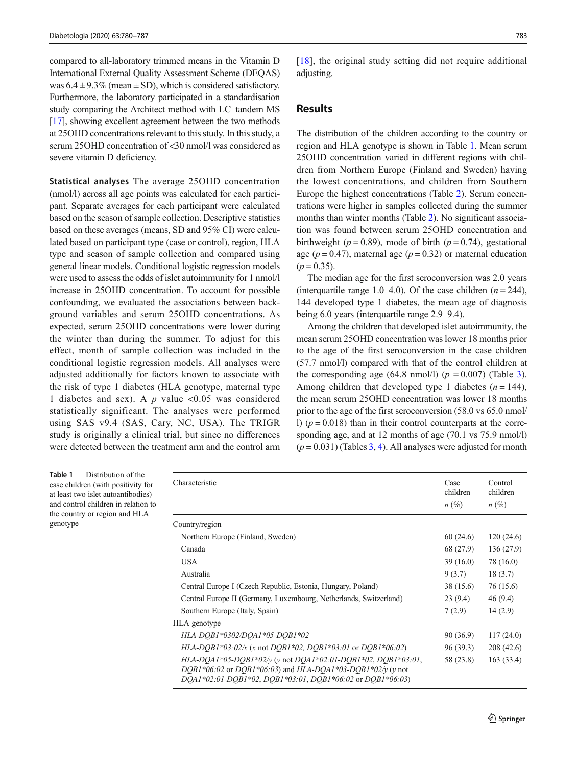compared to all-laboratory trimmed means in the Vitamin D International External Quality Assessment Scheme (DEQAS) was  $6.4 \pm 9.3\%$  (mean  $\pm$  SD), which is considered satisfactory. Furthermore, the laboratory participated in a standardisation study comparing the Architect method with LC–tandem MS [\[17\]](#page-7-0), showing excellent agreement between the two methods at 25OHD concentrations relevant to this study. In this study, a serum 25OHD concentration of <30 nmol/l was considered as severe vitamin D deficiency.

Statistical analyses The average 25OHD concentration (nmol/l) across all age points was calculated for each participant. Separate averages for each participant were calculated based on the season of sample collection. Descriptive statistics based on these averages (means, SD and 95% CI) were calculated based on participant type (case or control), region, HLA type and season of sample collection and compared using general linear models. Conditional logistic regression models were used to assess the odds of islet autoimmunity for 1 nmol/l increase in 25OHD concentration. To account for possible confounding, we evaluated the associations between background variables and serum 25OHD concentrations. As expected, serum 25OHD concentrations were lower during the winter than during the summer. To adjust for this effect, month of sample collection was included in the conditional logistic regression models. All analyses were adjusted additionally for factors known to associate with the risk of type 1 diabetes (HLA genotype, maternal type 1 diabetes and sex). A  $p$  value <0.05 was considered statistically significant. The analyses were performed using SAS v9.4 (SAS, Cary, NC, USA). The TRIGR study is originally a clinical trial, but since no differences were detected between the treatment arm and the control arm [\[18\]](#page-7-0), the original study setting did not require additional adjusting.

## Results

The distribution of the children according to the country or region and HLA genotype is shown in Table 1. Mean serum 25OHD concentration varied in different regions with children from Northern Europe (Finland and Sweden) having the lowest concentrations, and children from Southern Europe the highest concentrations (Table [2](#page-4-0)). Serum concentrations were higher in samples collected during the summer months than winter months (Table [2](#page-4-0)). No significant association was found between serum 25OHD concentration and birthweight ( $p = 0.89$ ), mode of birth ( $p = 0.74$ ), gestational age ( $p = 0.47$ ), maternal age ( $p = 0.32$ ) or maternal education  $(p = 0.35)$ .

The median age for the first seroconversion was 2.0 years (interquartile range 1.0–4.0). Of the case children  $(n = 244)$ , 144 developed type 1 diabetes, the mean age of diagnosis being 6.0 years (interquartile range 2.9–9.4).

Among the children that developed islet autoimmunity, the mean serum 25OHD concentration was lower 18 months prior to the age of the first seroconversion in the case children (57.7 nmol/l) compared with that of the control children at the corresponding age (64.8 nmol/l) ( $p = 0.007$ ) (Table [3\)](#page-5-0). Among children that developed type 1 diabetes  $(n = 144)$ , the mean serum 25OHD concentration was lower 18 months prior to the age of the first seroconversion (58.0 vs 65.0 nmol/ l)  $(p = 0.018)$  than in their control counterparts at the corresponding age, and at 12 months of age (70.1 vs 75.9 nmol/l)  $(p = 0.031)$  (Tables [3,](#page-5-0) [4\)](#page-5-0). All analyses were adjusted for month

Table 1 Distribution of the case children (with positivity for at least two islet autoantibodies) and control children in relation to the country or region and HLA genotype

| Characteristic                                                                                                                                                                                                 | Case<br>children<br>$n(\%)$ | Control<br>children<br>$n(\%)$ |
|----------------------------------------------------------------------------------------------------------------------------------------------------------------------------------------------------------------|-----------------------------|--------------------------------|
| Country/region                                                                                                                                                                                                 |                             |                                |
| Northern Europe (Finland, Sweden)                                                                                                                                                                              | 60(24.6)                    | 120(24.6)                      |
| Canada                                                                                                                                                                                                         | 68 (27.9)                   | 136(27.9)                      |
| <b>USA</b>                                                                                                                                                                                                     | 39(16.0)                    | 78 (16.0)                      |
| Australia                                                                                                                                                                                                      | 9(3.7)                      | 18(3.7)                        |
| Central Europe I (Czech Republic, Estonia, Hungary, Poland)                                                                                                                                                    | 38 (15.6)                   | 76 (15.6)                      |
| Central Europe II (Germany, Luxembourg, Netherlands, Switzerland)                                                                                                                                              | 23(9.4)                     | 46(9.4)                        |
| Southern Europe (Italy, Spain)                                                                                                                                                                                 | 7(2.9)                      | 14(2.9)                        |
| HLA genotype                                                                                                                                                                                                   |                             |                                |
| HLA-DOB1*0302/DOA1*05-DOB1*02                                                                                                                                                                                  | 90 (36.9)                   | 117(24.0)                      |
| $HLA-DOBI*03:02/x$ (x not $DOBI*02$ , $DOBI*03:01$ or $DOBI*06:02$ )                                                                                                                                           | 96 (39.3)                   | 208(42.6)                      |
| $HLA-DOA1*05-DOB1*02/y$ (y not $DOA1*02:01-DOB1*02$ , $DOB1*03:01$ ,<br>$DOBI * 06:02$ or $DOBI * 06:03$ ) and $HLA-DOAI * 03-DOBI * 02/y$ (y not<br>DOA1*02:01-DOB1*02, DOB1*03:01, DOB1*06:02 or DOB1*06:03) | 58 (23.8)                   | 163(33.4)                      |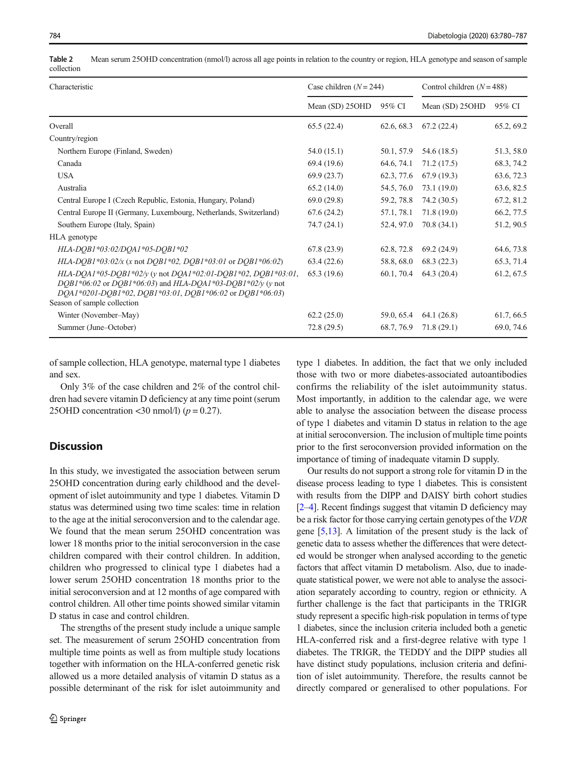<span id="page-4-0"></span>Table 2 Mean serum 25OHD concentration (nmol/l) across all age points in relation to the country or region, HLA genotype and season of sample collection

| Characteristic                                                                                                                                                                                      | Case children $(N = 244)$ |            | Control children $(N=488)$ |            |
|-----------------------------------------------------------------------------------------------------------------------------------------------------------------------------------------------------|---------------------------|------------|----------------------------|------------|
|                                                                                                                                                                                                     | Mean (SD) 25OHD           | 95% CI     | Mean (SD) 25OHD            | 95% CI     |
| Overall                                                                                                                                                                                             | 65.5(22.4)                | 62.6, 68.3 | 67.2(22.4)                 | 65.2, 69.2 |
| Country/region                                                                                                                                                                                      |                           |            |                            |            |
| Northern Europe (Finland, Sweden)                                                                                                                                                                   | 54.0(15.1)                | 50.1, 57.9 | 54.6 (18.5)                | 51.3, 58.0 |
| Canada                                                                                                                                                                                              | 69.4 (19.6)               | 64.6, 74.1 | 71.2(17.5)                 | 68.3, 74.2 |
| <b>USA</b>                                                                                                                                                                                          | 69.9(23.7)                | 62.3, 77.6 | 67.9(19.3)                 | 63.6, 72.3 |
| Australia                                                                                                                                                                                           | 65.2(14.0)                | 54.5, 76.0 | 73.1 (19.0)                | 63.6, 82.5 |
| Central Europe I (Czech Republic, Estonia, Hungary, Poland)                                                                                                                                         | 69.0(29.8)                | 59.2, 78.8 | 74.2 (30.5)                | 67.2, 81.2 |
| Central Europe II (Germany, Luxembourg, Netherlands, Switzerland)                                                                                                                                   | 67.6(24.2)                | 57.1, 78.1 | 71.8(19.0)                 | 66.2, 77.5 |
| Southern Europe (Italy, Spain)                                                                                                                                                                      | 74.7 (24.1)               | 52.4, 97.0 | 70.8(34.1)                 | 51.2, 90.5 |
| HLA genotype                                                                                                                                                                                        |                           |            |                            |            |
| HLA-DOB1*03:02/DOA1*05-DOB1*02                                                                                                                                                                      | 67.8(23.9)                | 62.8, 72.8 | 69.2 (24.9)                | 64.6, 73.8 |
| HLA-DQB1*03:02/x (x not DQB1*02, DQB1*03:01 or DQB1*06:02)                                                                                                                                          | 63.4(22.6)                | 58.8, 68.0 | 68.3(22.3)                 | 65.3, 71.4 |
| HLA-DOA1*05-DOB1*02/ $\gamma$ (y not DOA1*02:01-DOB1*02, DOB1*03:01,<br>$DOB1*06:02$ or $DOB1*06:03$ ) and HLA-DOA1*03-DOB1*02/y (y not<br>DQA1*0201-DQB1*02, DQB1*03:01, DQB1*06:02 or DQB1*06:03) | 65.3(19.6)                | 60.1, 70.4 | 64.3(20.4)                 | 61.2, 67.5 |
| Season of sample collection                                                                                                                                                                         |                           |            |                            |            |
| Winter (November-May)                                                                                                                                                                               | 62.2(25.0)                | 59.0, 65.4 | 64.1 (26.8)                | 61.7, 66.5 |
| Summer (June-October)                                                                                                                                                                               | 72.8(29.5)                | 68.7, 76.9 | 71.8(29.1)                 | 69.0, 74.6 |

of sample collection, HLA genotype, maternal type 1 diabetes and sex.

Only 3% of the case children and 2% of the control children had severe vitamin D deficiency at any time point (serum 25OHD concentration <30 nmol/l) ( $p = 0.27$ ).

## **Discussion**

In this study, we investigated the association between serum 25OHD concentration during early childhood and the development of islet autoimmunity and type 1 diabetes. Vitamin D status was determined using two time scales: time in relation to the age at the initial seroconversion and to the calendar age. We found that the mean serum 25OHD concentration was lower 18 months prior to the initial seroconversion in the case children compared with their control children. In addition, children who progressed to clinical type 1 diabetes had a lower serum 25OHD concentration 18 months prior to the initial seroconversion and at 12 months of age compared with control children. All other time points showed similar vitamin D status in case and control children.

The strengths of the present study include a unique sample set. The measurement of serum 25OHD concentration from multiple time points as well as from multiple study locations together with information on the HLA-conferred genetic risk allowed us a more detailed analysis of vitamin D status as a possible determinant of the risk for islet autoimmunity and type 1 diabetes. In addition, the fact that we only included those with two or more diabetes-associated autoantibodies confirms the reliability of the islet autoimmunity status. Most importantly, in addition to the calendar age, we were able to analyse the association between the disease process of type 1 diabetes and vitamin D status in relation to the age at initial seroconversion. The inclusion of multiple time points prior to the first seroconversion provided information on the importance of timing of inadequate vitamin D supply.

Our results do not support a strong role for vitamin D in the disease process leading to type 1 diabetes. This is consistent with results from the DIPP and DAISY birth cohort studies [\[2](#page-6-0)–[4\]](#page-6-0). Recent findings suggest that vitamin D deficiency may be a risk factor for those carrying certain genotypes of the VDR gene [\[5,13](#page-7-0)]. A limitation of the present study is the lack of genetic data to assess whether the differences that were detected would be stronger when analysed according to the genetic factors that affect vitamin D metabolism. Also, due to inadequate statistical power, we were not able to analyse the association separately according to country, region or ethnicity. A further challenge is the fact that participants in the TRIGR study represent a specific high-risk population in terms of type 1 diabetes, since the inclusion criteria included both a genetic HLA-conferred risk and a first-degree relative with type 1 diabetes. The TRIGR, the TEDDY and the DIPP studies all have distinct study populations, inclusion criteria and definition of islet autoimmunity. Therefore, the results cannot be directly compared or generalised to other populations. For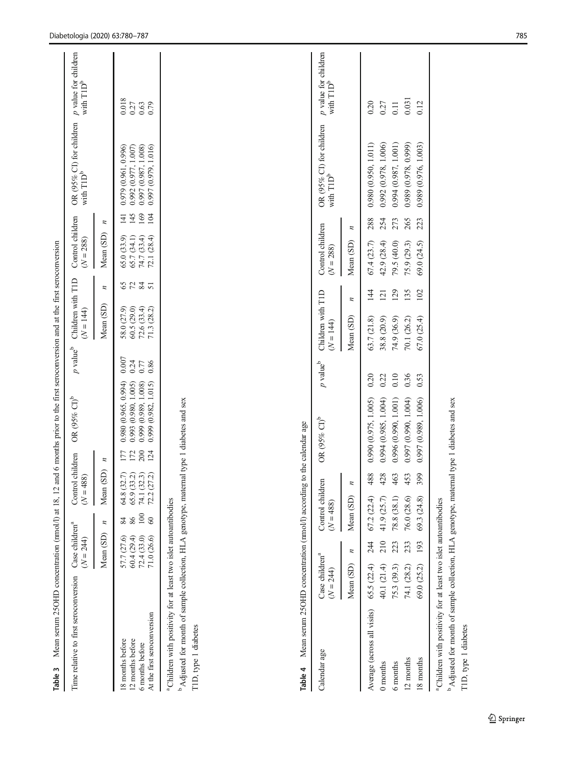<span id="page-5-0"></span>

| At the first seroconversion<br>2 months before<br>18 months before<br>6 months before                                                                                             | Mean (SD)<br>60.4 (29.4)<br>72.4(33.0)<br>57.7 (27.6) |                                 |                                                         |                              |                                                                                             |                               |                                                                |            |                                                   |                          |                                                                                              |                                               |
|-----------------------------------------------------------------------------------------------------------------------------------------------------------------------------------|-------------------------------------------------------|---------------------------------|---------------------------------------------------------|------------------------------|---------------------------------------------------------------------------------------------|-------------------------------|----------------------------------------------------------------|------------|---------------------------------------------------|--------------------------|----------------------------------------------------------------------------------------------|-----------------------------------------------|
|                                                                                                                                                                                   |                                                       | z                               | Mean (SD)                                               | $\boldsymbol{z}$             |                                                                                             |                               | Mean (SD)                                                      | z          | Mean (SD)                                         | $\boldsymbol{z}$         |                                                                                              |                                               |
|                                                                                                                                                                                   | 71.0 (26.6)                                           | $100\,$<br>60<br>88<br>86       | $64.8 (32.7) \n65.9 (33.2) \n74.1 (32.3) \n72.2 (27.2)$ | $177$<br>$172$<br>200<br>124 | 0.993 (0.980, 1.005)<br>0.999 (0.989, 1.008)<br>0.980(0.965, 0.994)<br>0.999 (0.982, 1.015) | 0.007<br>0.24<br>0.86<br>0.77 | $58.0(27.9)$<br>$60.5(29.0)$<br>$72.6 (33.4)$<br>$71.3 (28.2)$ | 3235       | 65.7(34.1)<br>74.7(33.4)<br>72.1 (28.4)<br>(33.9) | 169<br>145<br>104<br>141 | 0.992 (0.977, 1.007)<br>0.997 (0.987, 1.008)<br>0.997 (0.979, 1.016)<br>0.979 (0.961, 0.996) | 0.018<br>0.27<br>0.63<br>0.79                 |
| <sup>b</sup> Adjusted for month of sample collection, HLA genotype, matern<br><sup>a</sup> Children with positivity for at least two islet autoantibodies<br>T1D, type 1 diabetes |                                                       |                                 |                                                         |                              | nal type 1 diabetes and sex                                                                 |                               |                                                                |            |                                                   |                          |                                                                                              |                                               |
|                                                                                                                                                                                   |                                                       |                                 |                                                         |                              |                                                                                             |                               |                                                                |            |                                                   |                          |                                                                                              |                                               |
| Mean serum 25OHD concentration (nmol/l) according<br>Table 4                                                                                                                      |                                                       |                                 |                                                         | to the calendar age          |                                                                                             |                               |                                                                |            |                                                   |                          |                                                                                              |                                               |
| Calendar age                                                                                                                                                                      | Case children <sup>a</sup><br>$(N = 244)$             | Control children<br>$(N = 488)$ |                                                         |                              | OR $(95\%$ CI) <sup>b</sup>                                                                 | $p$ value $^{\rm b}$          | Children with T1D<br>$(N = 144)$                               |            | Control children<br>$(N = 288)$                   |                          | OR (95% CI) for children<br>with $T1D^b$                                                     | p value for children<br>with T1D <sup>b</sup> |
|                                                                                                                                                                                   | n<br>Mean (SD)                                        | Mean (SD)                       | z                                                       |                              |                                                                                             |                               | Mean (SD)                                                      |            | Mean (SD)                                         | n                        |                                                                                              |                                               |
| Average (across all visits)<br>$0$ months                                                                                                                                         | 210<br>244<br>40.1 (21.4)<br>65.5(22.4)               | 41.9(25.7)<br>67.2(22.4)        | 188<br>128                                              |                              | 0.994(0.985, 1.004)<br>0.990(0.975, 1.005)                                                  | 0.20<br>0.22                  | 38.8 (20.9)<br>63.7 (21.8)                                     | 144<br>121 | 42.9 (28.4)<br>67.4(23.7)                         | 254<br>288               | 0.980(0.950, 1.011)<br>0.992 (0.978, 1.006)                                                  | 0.20<br>0.27                                  |
| 6 months                                                                                                                                                                          | 223<br>75.3 (39.3)                                    | 78.8 (38.1)                     | 163                                                     |                              | 0.996(0.990, 1.001)                                                                         | 0.10                          | 74.9 (36.9)                                                    | 129        | 79.5 (40.0)                                       | 273                      | 0.994(0.987, 1.001)                                                                          | 0.11                                          |
| 12 months<br>18 months                                                                                                                                                            | 193<br>233<br>69.0 (25.2)<br>74.1 (28.2)              | 76.0 (28.6)<br>69.3 (24.8)      | 153<br>399                                              |                              | 0.997 (0.990, 1.004)<br>0.997 (0.989, 1.006)                                                | 0.36<br>0.53                  | 67.0(25.4)<br>70.1 (26.2)                                      | 135<br>102 | 75.9 (29.3)<br>69.0 (24.5)                        | 265<br>223               | 0.989 (0.978, 0.999)<br>0.989 (0.976, 1.003)                                                 | 0.031<br>0.12                                 |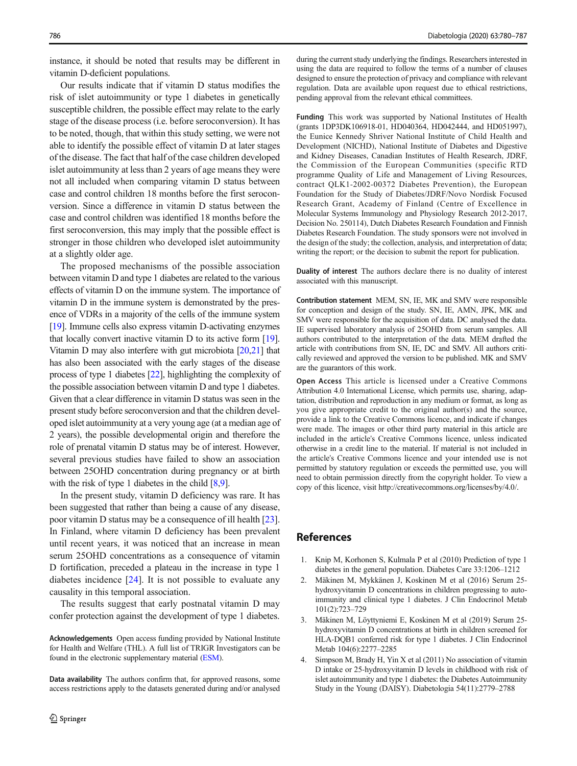<span id="page-6-0"></span>instance, it should be noted that results may be different in vitamin D-deficient populations.

Our results indicate that if vitamin D status modifies the risk of islet autoimmunity or type 1 diabetes in genetically susceptible children, the possible effect may relate to the early stage of the disease process (i.e. before seroconversion). It has to be noted, though, that within this study setting, we were not able to identify the possible effect of vitamin D at later stages of the disease. The fact that half of the case children developed islet autoimmunity at less than 2 years of age means they were not all included when comparing vitamin D status between case and control children 18 months before the first seroconversion. Since a difference in vitamin D status between the case and control children was identified 18 months before the first seroconversion, this may imply that the possible effect is stronger in those children who developed islet autoimmunity at a slightly older age.

The proposed mechanisms of the possible association between vitamin D and type 1 diabetes are related to the various effects of vitamin D on the immune system. The importance of vitamin D in the immune system is demonstrated by the presence of VDRs in a majority of the cells of the immune system [\[19\]](#page-7-0). Immune cells also express vitamin D-activating enzymes that locally convert inactive vitamin D to its active form [\[19\]](#page-7-0). Vitamin D may also interfere with gut microbiota [[20,21](#page-7-0)] that has also been associated with the early stages of the disease process of type 1 diabetes [\[22\]](#page-7-0), highlighting the complexity of the possible association between vitamin D and type 1 diabetes. Given that a clear difference in vitamin D status was seen in the present study before seroconversion and that the children developed islet autoimmunity at a very young age (at a median age of 2 years), the possible developmental origin and therefore the role of prenatal vitamin D status may be of interest. However, several previous studies have failed to show an association between 25OHD concentration during pregnancy or at birth with the risk of type 1 diabetes in the child [\[8,9](#page-7-0)].

In the present study, vitamin D deficiency was rare. It has been suggested that rather than being a cause of any disease, poor vitamin D status may be a consequence of ill health [[23\]](#page-7-0). In Finland, where vitamin D deficiency has been prevalent until recent years, it was noticed that an increase in mean serum 25OHD concentrations as a consequence of vitamin D fortification, preceded a plateau in the increase in type 1 diabetes incidence [[24\]](#page-7-0). It is not possible to evaluate any causality in this temporal association.

The results suggest that early postnatal vitamin D may confer protection against the development of type 1 diabetes.

Data availability The authors confirm that, for approved reasons, some access restrictions apply to the datasets generated during and/or analysed during the current study underlying the findings. Researchers interested in using the data are required to follow the terms of a number of clauses designed to ensure the protection of privacy and compliance with relevant regulation. Data are available upon request due to ethical restrictions, pending approval from the relevant ethical committees.

Funding This work was supported by National Institutes of Health (grants 1DP3DK106918-01, HD040364, HD042444, and HD051997), the Eunice Kennedy Shriver National Institute of Child Health and Development (NICHD), National Institute of Diabetes and Digestive and Kidney Diseases, Canadian Institutes of Health Research, JDRF, the Commission of the European Communities (specific RTD programme Quality of Life and Management of Living Resources, contract QLK1-2002-00372 Diabetes Prevention), the European Foundation for the Study of Diabetes/JDRF/Novo Nordisk Focused Research Grant, Academy of Finland (Centre of Excellence in Molecular Systems Immunology and Physiology Research 2012-2017, Decision No. 250114), Dutch Diabetes Research Foundation and Finnish Diabetes Research Foundation. The study sponsors were not involved in the design of the study; the collection, analysis, and interpretation of data; writing the report; or the decision to submit the report for publication.

Duality of interest The authors declare there is no duality of interest associated with this manuscript.

Contribution statement MEM, SN, IE, MK and SMV were responsible for conception and design of the study. SN, IE, AMN, JPK, MK and SMV were responsible for the acquisition of data. DC analysed the data. IE supervised laboratory analysis of 25OHD from serum samples. All authors contributed to the interpretation of the data. MEM drafted the article with contributions from SN, IE, DC and SMV. All authors critically reviewed and approved the version to be published. MK and SMV are the guarantors of this work.

Open Access This article is licensed under a Creative Commons Attribution 4.0 International License, which permits use, sharing, adaptation, distribution and reproduction in any medium or format, as long as you give appropriate credit to the original author(s) and the source, provide a link to the Creative Commons licence, and indicate if changes were made. The images or other third party material in this article are included in the article's Creative Commons licence, unless indicated otherwise in a credit line to the material. If material is not included in the article's Creative Commons licence and your intended use is not permitted by statutory regulation or exceeds the permitted use, you will need to obtain permission directly from the copyright holder. To view a copy of this licence, visit http://creativecommons.org/licenses/by/4.0/.

## References

- 1. Knip M, Korhonen S, Kulmala P et al (2010) Prediction of type 1 diabetes in the general population. Diabetes Care 33:1206–1212
- 2. Mäkinen M, Mykkänen J, Koskinen M et al (2016) Serum 25 hydroxyvitamin D concentrations in children progressing to autoimmunity and clinical type 1 diabetes. J Clin Endocrinol Metab 101(2):723–729
- 3. Mäkinen M, Löyttyniemi E, Koskinen M et al (2019) Serum 25 hydroxyvitamin D concentrations at birth in children screened for HLA-DQB1 conferred risk for type 1 diabetes. J Clin Endocrinol Metab 104(6):2277–2285
- 4. Simpson M, Brady H, Yin X et al (2011) No association of vitamin D intake or 25-hydroxyvitamin D levels in childhood with risk of islet autoimmunity and type 1 diabetes: the Diabetes Autoimmunity Study in the Young (DAISY). Diabetologia 54(11):2779–2788

Acknowledgements Open access funding provided by National Institute for Health and Welfare (THL). A full list of TRIGR Investigators can be found in the electronic supplementary material (ESM).